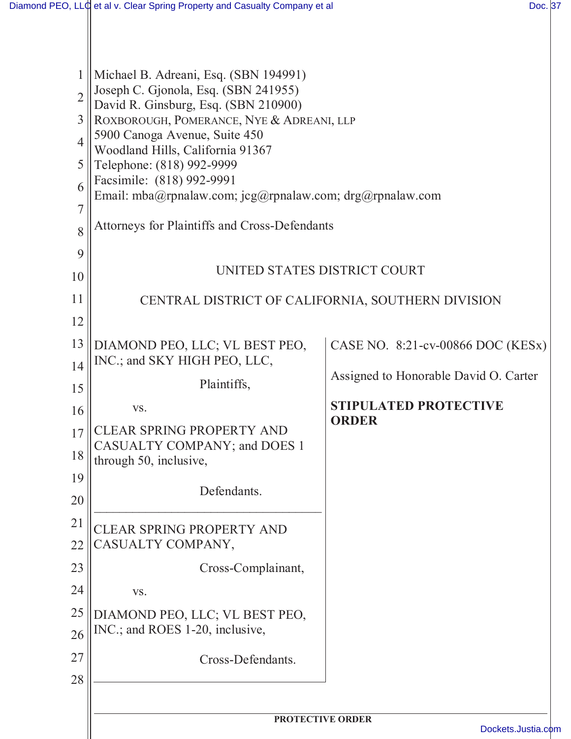| $\overline{2}$<br>3<br>$\overline{4}$<br>5<br>6<br>$\overline{7}$<br>8 | Michael B. Adreani, Esq. (SBN 194991)<br>Joseph C. Gjonola, Esq. (SBN 241955)<br>David R. Ginsburg, Esq. (SBN 210900)<br>ROXBOROUGH, POMERANCE, NYE & ADREANI, LLP<br>5900 Canoga Avenue, Suite 450<br>Woodland Hills, California 91367<br>Telephone: (818) 992-9999<br>Facsimile: (818) 992-9991<br>Email: mba@rpnalaw.com; jcg@rpnalaw.com; drg@rpnalaw.com<br>Attorneys for Plaintiffs and Cross-Defendants |                                              |  |
|------------------------------------------------------------------------|----------------------------------------------------------------------------------------------------------------------------------------------------------------------------------------------------------------------------------------------------------------------------------------------------------------------------------------------------------------------------------------------------------------|----------------------------------------------|--|
| 9                                                                      |                                                                                                                                                                                                                                                                                                                                                                                                                |                                              |  |
| 10                                                                     | UNITED STATES DISTRICT COURT                                                                                                                                                                                                                                                                                                                                                                                   |                                              |  |
| 11                                                                     | CENTRAL DISTRICT OF CALIFORNIA, SOUTHERN DIVISION                                                                                                                                                                                                                                                                                                                                                              |                                              |  |
| 12                                                                     |                                                                                                                                                                                                                                                                                                                                                                                                                |                                              |  |
| 13                                                                     | DIAMOND PEO, LLC; VL BEST PEO,                                                                                                                                                                                                                                                                                                                                                                                 | CASE NO. 8:21-cv-00866 DOC (KESx)            |  |
| 14                                                                     | INC.; and SKY HIGH PEO, LLC,                                                                                                                                                                                                                                                                                                                                                                                   | Assigned to Honorable David O. Carter        |  |
| 15                                                                     | Plaintiffs,                                                                                                                                                                                                                                                                                                                                                                                                    |                                              |  |
| 16                                                                     | VS.                                                                                                                                                                                                                                                                                                                                                                                                            | <b>STIPULATED PROTECTIVE</b><br><b>ORDER</b> |  |
| 17                                                                     | <b>CLEAR SPRING PROPERTY AND</b><br>CASUALTY COMPANY; and DOES 1                                                                                                                                                                                                                                                                                                                                               |                                              |  |
| 18                                                                     | through 50, inclusive,                                                                                                                                                                                                                                                                                                                                                                                         |                                              |  |
| 19                                                                     | Defendants.                                                                                                                                                                                                                                                                                                                                                                                                    |                                              |  |
| 20                                                                     |                                                                                                                                                                                                                                                                                                                                                                                                                |                                              |  |
| 21                                                                     | <b>CLEAR SPRING PROPERTY AND</b>                                                                                                                                                                                                                                                                                                                                                                               |                                              |  |
| 22                                                                     | CASUALTY COMPANY,                                                                                                                                                                                                                                                                                                                                                                                              |                                              |  |
| 23                                                                     | Cross-Complainant,                                                                                                                                                                                                                                                                                                                                                                                             |                                              |  |
| 24                                                                     | VS.                                                                                                                                                                                                                                                                                                                                                                                                            |                                              |  |
| 25<br>26                                                               | DIAMOND PEO, LLC; VL BEST PEO,<br>INC.; and ROES 1-20, inclusive,                                                                                                                                                                                                                                                                                                                                              |                                              |  |
| 27                                                                     | Cross-Defendants.                                                                                                                                                                                                                                                                                                                                                                                              |                                              |  |
| 28                                                                     |                                                                                                                                                                                                                                                                                                                                                                                                                |                                              |  |
|                                                                        | PROTECTIVE ORDER                                                                                                                                                                                                                                                                                                                                                                                               |                                              |  |
|                                                                        |                                                                                                                                                                                                                                                                                                                                                                                                                | Dockets.Justia.co                            |  |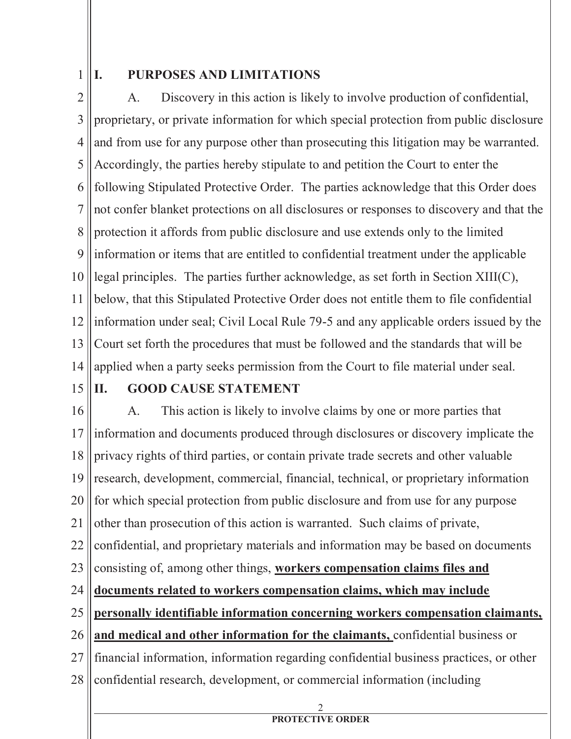1

## **I. PURPOSES AND LIMITATIONS**

2 3 4 5 6 7 8 9 10 11 12 13 14 A. Discovery in this action is likely to involve production of confidential, proprietary, or private information for which special protection from public disclosure and from use for any purpose other than prosecuting this litigation may be warranted. Accordingly, the parties hereby stipulate to and petition the Court to enter the following Stipulated Protective Order. The parties acknowledge that this Order does not confer blanket protections on all disclosures or responses to discovery and that the protection it affords from public disclosure and use extends only to the limited information or items that are entitled to confidential treatment under the applicable legal principles. The parties further acknowledge, as set forth in Section XIII(C), below, that this Stipulated Protective Order does not entitle them to file confidential information under seal; Civil Local Rule 79-5 and any applicable orders issued by the Court set forth the procedures that must be followed and the standards that will be applied when a party seeks permission from the Court to file material under seal.

15

## **II. GOOD CAUSE STATEMENT**

16 17 18 19 20 21 22 23 24 25 26 27 28 A. This action is likely to involve claims by one or more parties that information and documents produced through disclosures or discovery implicate the privacy rights of third parties, or contain private trade secrets and other valuable research, development, commercial, financial, technical, or proprietary information for which special protection from public disclosure and from use for any purpose other than prosecution of this action is warranted. Such claims of private, confidential, and proprietary materials and information may be based on documents consisting of, among other things, **workers compensation claims files and documents related to workers compensation claims, which may include personally identifiable information concerning workers compensation claimants, and medical and other information for the claimants,** confidential business or financial information, information regarding confidential business practices, or other confidential research, development, or commercial information (including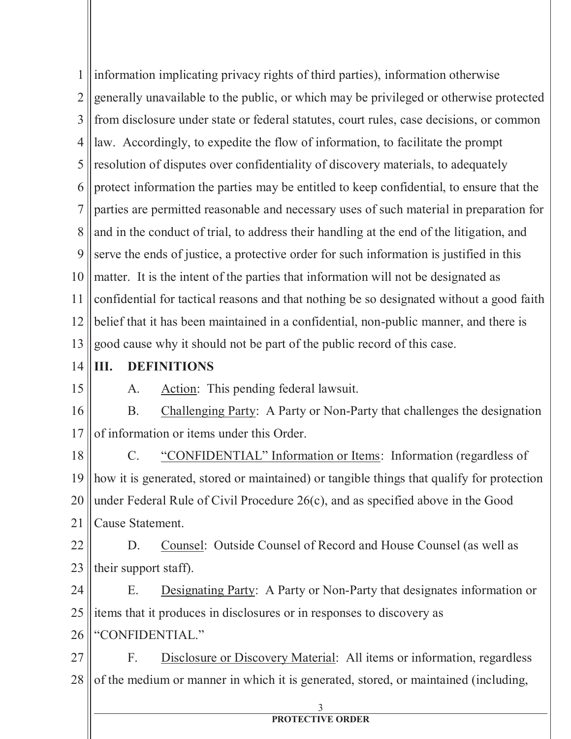1 2 3 4 5 6 7 8 9 10 11 12 13 information implicating privacy rights of third parties), information otherwise generally unavailable to the public, or which may be privileged or otherwise protected from disclosure under state or federal statutes, court rules, case decisions, or common law. Accordingly, to expedite the flow of information, to facilitate the prompt resolution of disputes over confidentiality of discovery materials, to adequately protect information the parties may be entitled to keep confidential, to ensure that the parties are permitted reasonable and necessary uses of such material in preparation for and in the conduct of trial, to address their handling at the end of the litigation, and serve the ends of justice, a protective order for such information is justified in this matter. It is the intent of the parties that information will not be designated as confidential for tactical reasons and that nothing be so designated without a good faith belief that it has been maintained in a confidential, non-public manner, and there is good cause why it should not be part of the public record of this case.

- 14
- 15

# **III. DEFINITIONS**

A. Action: This pending federal lawsuit.

16 17 B. Challenging Party: A Party or Non-Party that challenges the designation of information or items under this Order.

18 19 20 21 C. "CONFIDENTIAL" Information or Items: Information (regardless of how it is generated, stored or maintained) or tangible things that qualify for protection under Federal Rule of Civil Procedure 26(c), and as specified above in the Good Cause Statement.

22 23 D. Counsel: Outside Counsel of Record and House Counsel (as well as their support staff).

24 25 E. Designating Party: A Party or Non-Party that designates information or items that it produces in disclosures or in responses to discovery as

26 "CONFIDENTIAL."

27 28 F. Disclosure or Discovery Material: All items or information, regardless of the medium or manner in which it is generated, stored, or maintained (including,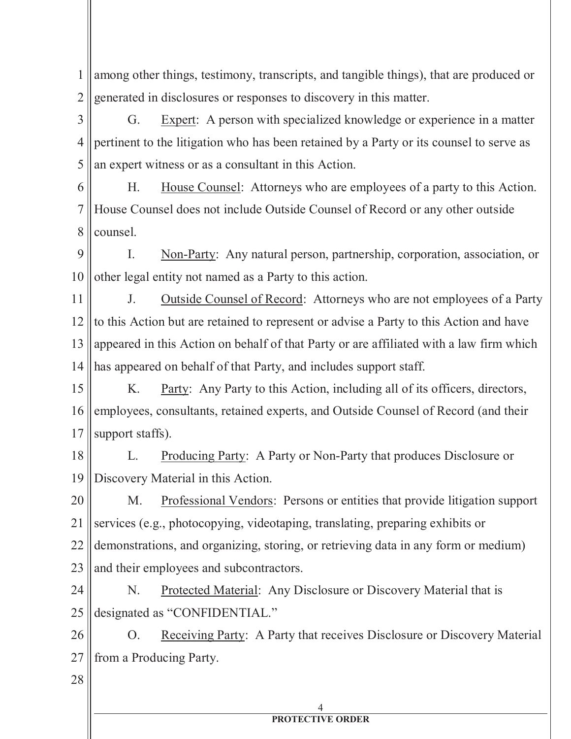1 2 among other things, testimony, transcripts, and tangible things), that are produced or generated in disclosures or responses to discovery in this matter.

3 4 5 G. Expert: A person with specialized knowledge or experience in a matter pertinent to the litigation who has been retained by a Party or its counsel to serve as an expert witness or as a consultant in this Action.

6 7 8 H. House Counsel: Attorneys who are employees of a party to this Action. House Counsel does not include Outside Counsel of Record or any other outside counsel.

9 10 I. Non-Party: Any natural person, partnership, corporation, association, or other legal entity not named as a Party to this action.

11 12 13 14 J. Outside Counsel of Record: Attorneys who are not employees of a Party to this Action but are retained to represent or advise a Party to this Action and have appeared in this Action on behalf of that Party or are affiliated with a law firm which has appeared on behalf of that Party, and includes support staff.

15 16 17 K. Party: Any Party to this Action, including all of its officers, directors, employees, consultants, retained experts, and Outside Counsel of Record (and their support staffs).

18 19 L. Producing Party: A Party or Non-Party that produces Disclosure or Discovery Material in this Action.

20 21 22 23 M. Professional Vendors: Persons or entities that provide litigation support services (e.g., photocopying, videotaping, translating, preparing exhibits or demonstrations, and organizing, storing, or retrieving data in any form or medium) and their employees and subcontractors.

24 25 N. Protected Material: Any Disclosure or Discovery Material that is designated as "CONFIDENTIAL."

26 27 O. Receiving Party: A Party that receives Disclosure or Discovery Material from a Producing Party.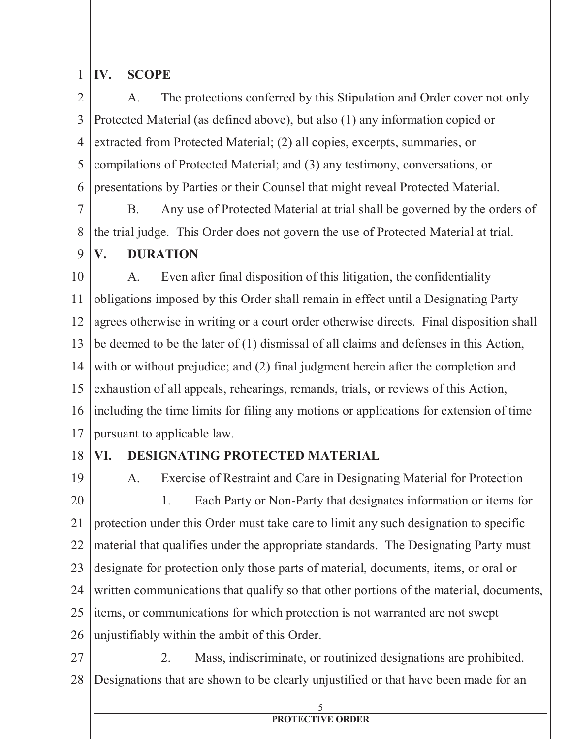#### 1 **IV. SCOPE**

2 3 4 5 6 A. The protections conferred by this Stipulation and Order cover not only Protected Material (as defined above), but also (1) any information copied or extracted from Protected Material; (2) all copies, excerpts, summaries, or compilations of Protected Material; and (3) any testimony, conversations, or presentations by Parties or their Counsel that might reveal Protected Material.

7 8 B. Any use of Protected Material at trial shall be governed by the orders of the trial judge. This Order does not govern the use of Protected Material at trial.

9 **V. DURATION**

10 11 12 13 14 15 16 17 A. Even after final disposition of this litigation, the confidentiality obligations imposed by this Order shall remain in effect until a Designating Party agrees otherwise in writing or a court order otherwise directs. Final disposition shall be deemed to be the later of (1) dismissal of all claims and defenses in this Action, with or without prejudice; and (2) final judgment herein after the completion and exhaustion of all appeals, rehearings, remands, trials, or reviews of this Action, including the time limits for filing any motions or applications for extension of time pursuant to applicable law.

18

## **VI. DESIGNATING PROTECTED MATERIAL**

19 20 21 22 23 24 25 26 A. Exercise of Restraint and Care in Designating Material for Protection 1. Each Party or Non-Party that designates information or items for protection under this Order must take care to limit any such designation to specific material that qualifies under the appropriate standards. The Designating Party must designate for protection only those parts of material, documents, items, or oral or written communications that qualify so that other portions of the material, documents, items, or communications for which protection is not warranted are not swept unjustifiably within the ambit of this Order.

27 28 2. Mass, indiscriminate, or routinized designations are prohibited. Designations that are shown to be clearly unjustified or that have been made for an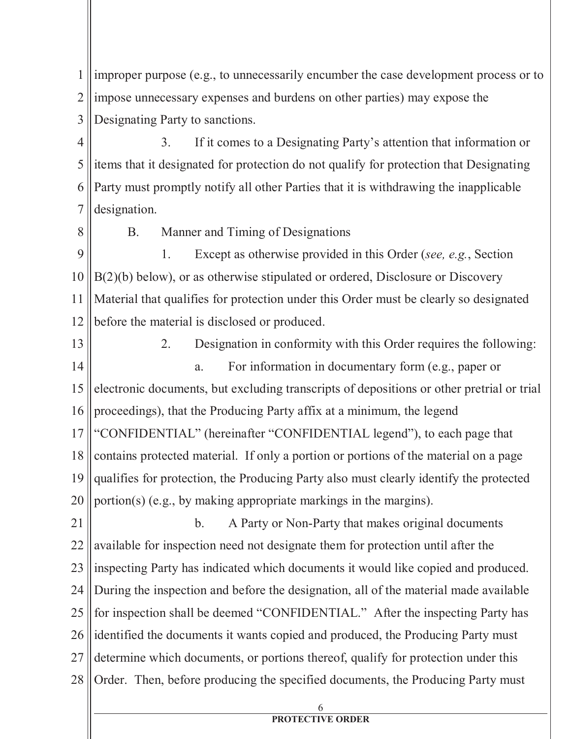1 2 3 improper purpose (e.g., to unnecessarily encumber the case development process or to impose unnecessary expenses and burdens on other parties) may expose the Designating Party to sanctions.

4 5 6 7 3. If it comes to a Designating Party's attention that information or items that it designated for protection do not qualify for protection that Designating Party must promptly notify all other Parties that it is withdrawing the inapplicable designation.

B. Manner and Timing of Designations

9 10 11 12 1. Except as otherwise provided in this Order (*see, e.g.*, Section B(2)(b) below), or as otherwise stipulated or ordered, Disclosure or Discovery Material that qualifies for protection under this Order must be clearly so designated before the material is disclosed or produced.

13

8

14 15 16 17 18 19 20 2. Designation in conformity with this Order requires the following: a. For information in documentary form (e.g., paper or electronic documents, but excluding transcripts of depositions or other pretrial or trial proceedings), that the Producing Party affix at a minimum, the legend "CONFIDENTIAL" (hereinafter "CONFIDENTIAL legend"), to each page that contains protected material. If only a portion or portions of the material on a page qualifies for protection, the Producing Party also must clearly identify the protected portion(s) (e.g., by making appropriate markings in the margins).

21 22 23 24 25 26 27 28 b. A Party or Non-Party that makes original documents available for inspection need not designate them for protection until after the inspecting Party has indicated which documents it would like copied and produced. During the inspection and before the designation, all of the material made available for inspection shall be deemed "CONFIDENTIAL." After the inspecting Party has identified the documents it wants copied and produced, the Producing Party must determine which documents, or portions thereof, qualify for protection under this Order. Then, before producing the specified documents, the Producing Party must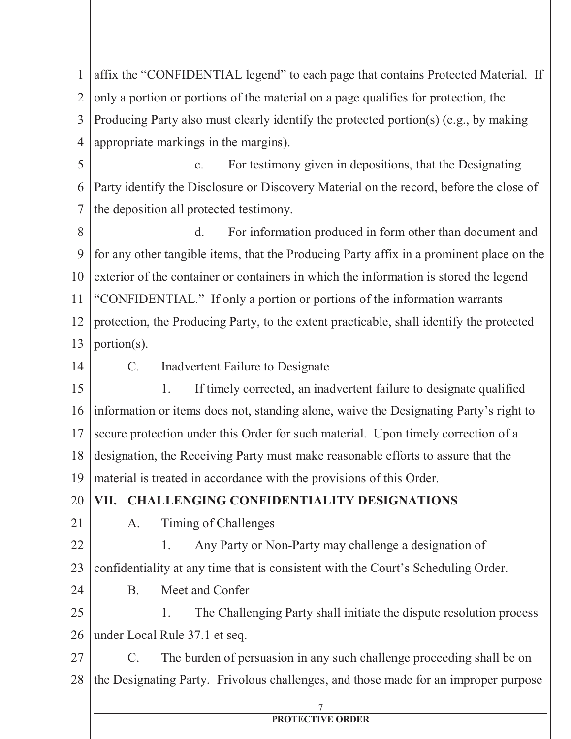1 2 3 4 5 affix the "CONFIDENTIAL legend" to each page that contains Protected Material. If only a portion or portions of the material on a page qualifies for protection, the Producing Party also must clearly identify the protected portion(s) (e.g., by making appropriate markings in the margins). c. For testimony given in depositions, that the Designating

6 7 8 9 10 11 12 13 Party identify the Disclosure or Discovery Material on the record, before the close of the deposition all protected testimony. d. For information produced in form other than document and for any other tangible items, that the Producing Party affix in a prominent place on the exterior of the container or containers in which the information is stored the legend "CONFIDENTIAL." If only a portion or portions of the information warrants protection, the Producing Party, to the extent practicable, shall identify the protected portion(s).

14

C. Inadvertent Failure to Designate

15 16 17 18 19 1. If timely corrected, an inadvertent failure to designate qualified information or items does not, standing alone, waive the Designating Party's right to secure protection under this Order for such material. Upon timely correction of a designation, the Receiving Party must make reasonable efforts to assure that the material is treated in accordance with the provisions of this Order.

20 **VII. CHALLENGING CONFIDENTIALITY DESIGNATIONS**

21

24

A. Timing of Challenges

22 23 1. Any Party or Non-Party may challenge a designation of confidentiality at any time that is consistent with the Court's Scheduling Order.

B. Meet and Confer

25 26 1. The Challenging Party shall initiate the dispute resolution process under Local Rule 37.1 et seq.

27 28 C. The burden of persuasion in any such challenge proceeding shall be on the Designating Party. Frivolous challenges, and those made for an improper purpose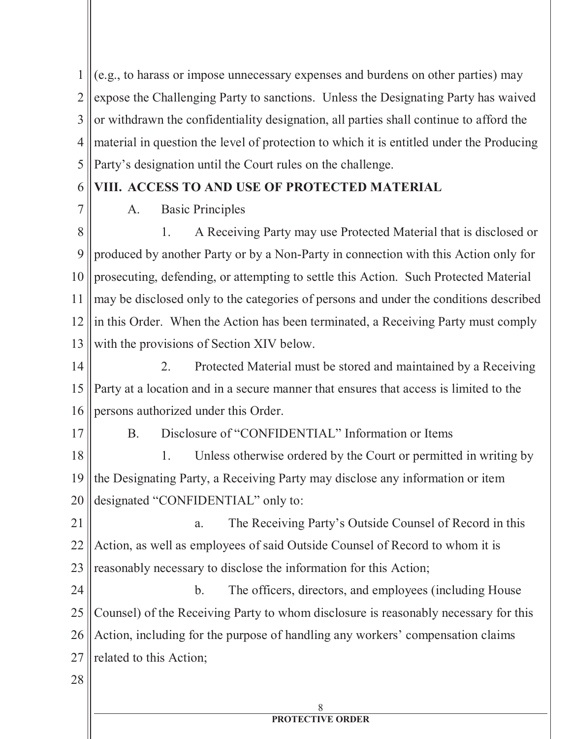1 2 3 4 5 (e.g., to harass or impose unnecessary expenses and burdens on other parties) may expose the Challenging Party to sanctions. Unless the Designating Party has waived or withdrawn the confidentiality designation, all parties shall continue to afford the material in question the level of protection to which it is entitled under the Producing Party's designation until the Court rules on the challenge.

#### 6 **VIII. ACCESS TO AND USE OF PROTECTED MATERIAL**

A. Basic Principles

8 9 10 11 12 13 1. A Receiving Party may use Protected Material that is disclosed or produced by another Party or by a Non-Party in connection with this Action only for prosecuting, defending, or attempting to settle this Action. Such Protected Material may be disclosed only to the categories of persons and under the conditions described in this Order. When the Action has been terminated, a Receiving Party must comply with the provisions of Section XIV below.

14 15 16 2. Protected Material must be stored and maintained by a Receiving Party at a location and in a secure manner that ensures that access is limited to the persons authorized under this Order.

17

7

B. Disclosure of "CONFIDENTIAL" Information or Items

18 19 20 1. Unless otherwise ordered by the Court or permitted in writing by the Designating Party, a Receiving Party may disclose any information or item designated "CONFIDENTIAL" only to:

21 22 23 a. The Receiving Party's Outside Counsel of Record in this Action, as well as employees of said Outside Counsel of Record to whom it is reasonably necessary to disclose the information for this Action;

24 25 26 27 b. The officers, directors, and employees (including House Counsel) of the Receiving Party to whom disclosure is reasonably necessary for this Action, including for the purpose of handling any workers' compensation claims related to this Action;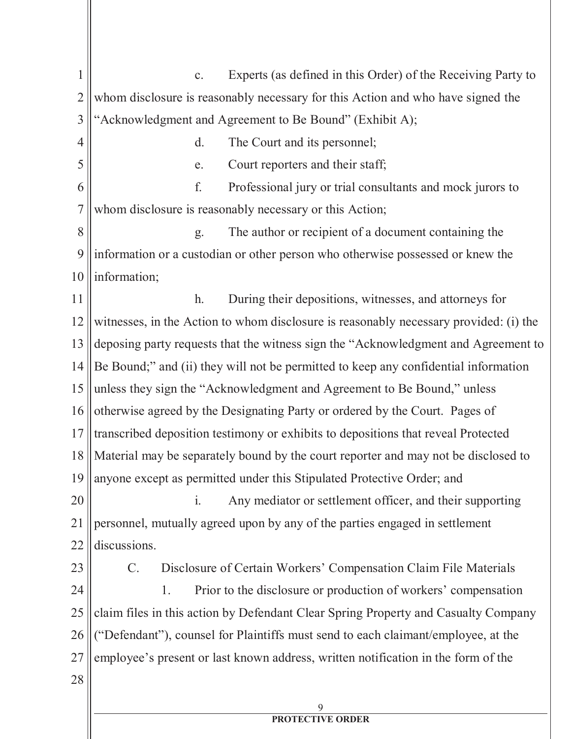9 1 2 3 4 5 6 7 8 9 10 11 12 13 14 15 16 17 18 19 20 21 22 23 24 25 26 27 28 c. Experts (as defined in this Order) of the Receiving Party to whom disclosure is reasonably necessary for this Action and who have signed the "Acknowledgment and Agreement to Be Bound" (Exhibit A); d. The Court and its personnel; e. Court reporters and their staff; f. Professional jury or trial consultants and mock jurors to whom disclosure is reasonably necessary or this Action; g. The author or recipient of a document containing the information or a custodian or other person who otherwise possessed or knew the information; h. During their depositions, witnesses, and attorneys for witnesses, in the Action to whom disclosure is reasonably necessary provided: (i) the deposing party requests that the witness sign the "Acknowledgment and Agreement to Be Bound;" and (ii) they will not be permitted to keep any confidential information unless they sign the "Acknowledgment and Agreement to Be Bound," unless otherwise agreed by the Designating Party or ordered by the Court. Pages of transcribed deposition testimony or exhibits to depositions that reveal Protected Material may be separately bound by the court reporter and may not be disclosed to anyone except as permitted under this Stipulated Protective Order; and i. Any mediator or settlement officer, and their supporting personnel, mutually agreed upon by any of the parties engaged in settlement discussions. C. Disclosure of Certain Workers' Compensation Claim File Materials 1. Prior to the disclosure or production of workers' compensation claim files in this action by Defendant Clear Spring Property and Casualty Company ("Defendant"), counsel for Plaintiffs must send to each claimant/employee, at the employee's present or last known address, written notification in the form of the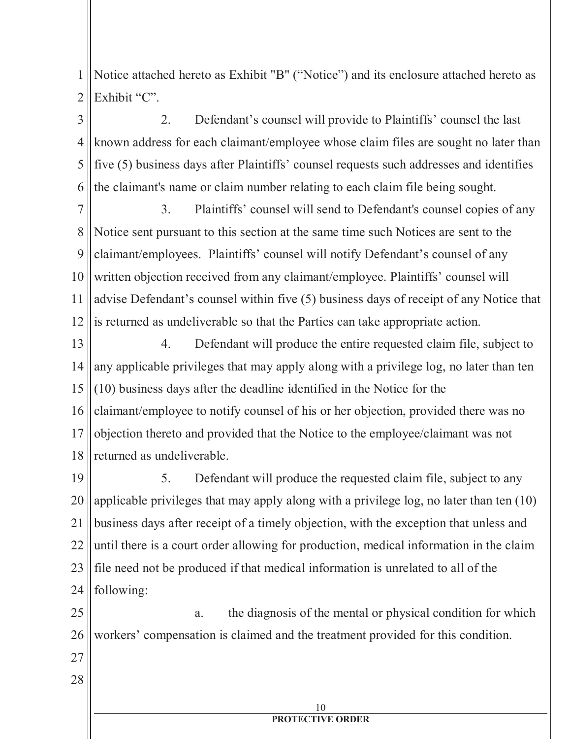1 2 Notice attached hereto as Exhibit "B" ("Notice") and its enclosure attached hereto as Exhibit "C".

3 4 5 6 2. Defendant's counsel will provide to Plaintiffs' counsel the last known address for each claimant/employee whose claim files are sought no later than five (5) business days after Plaintiffs' counsel requests such addresses and identifies the claimant's name or claim number relating to each claim file being sought.

7 8 9 10 11 12 3. Plaintiffs' counsel will send to Defendant's counsel copies of any Notice sent pursuant to this section at the same time such Notices are sent to the claimant/employees. Plaintiffs' counsel will notify Defendant's counsel of any written objection received from any claimant/employee. Plaintiffs' counsel will advise Defendant's counsel within five (5) business days of receipt of any Notice that is returned as undeliverable so that the Parties can take appropriate action.

13 14 15 16 17 18 4. Defendant will produce the entire requested claim file, subject to any applicable privileges that may apply along with a privilege log, no later than ten (10) business days after the deadline identified in the Notice for the claimant/employee to notify counsel of his or her objection, provided there was no objection thereto and provided that the Notice to the employee/claimant was not returned as undeliverable.

19 20 21 22 23 24 5. Defendant will produce the requested claim file, subject to any applicable privileges that may apply along with a privilege log, no later than ten (10) business days after receipt of a timely objection, with the exception that unless and until there is a court order allowing for production, medical information in the claim file need not be produced if that medical information is unrelated to all of the following:

25 26 a. the diagnosis of the mental or physical condition for which workers' compensation is claimed and the treatment provided for this condition.

- 27
- 28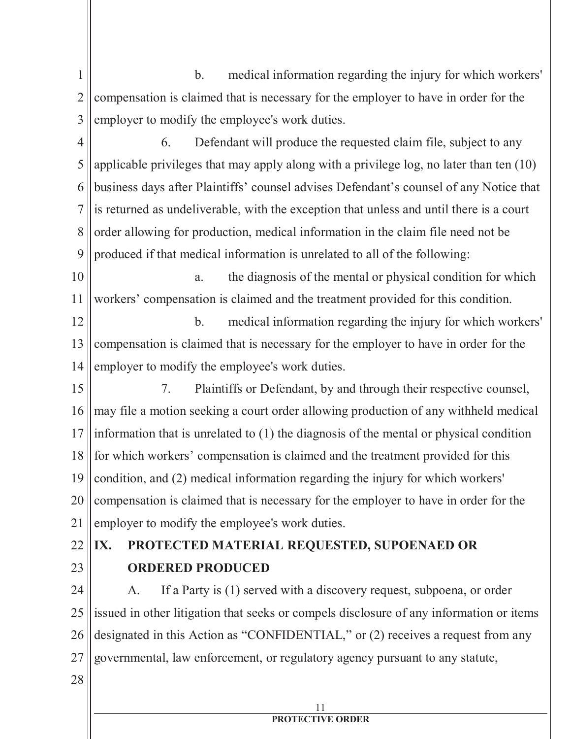- 1 2 3 b. medical information regarding the injury for which workers' compensation is claimed that is necessary for the employer to have in order for the employer to modify the employee's work duties.
- 4 5 6 7 8 9 6. Defendant will produce the requested claim file, subject to any applicable privileges that may apply along with a privilege log, no later than ten (10) business days after Plaintiffs' counsel advises Defendant's counsel of any Notice that is returned as undeliverable, with the exception that unless and until there is a court order allowing for production, medical information in the claim file need not be produced if that medical information is unrelated to all of the following:
- 10 11 a. the diagnosis of the mental or physical condition for which workers' compensation is claimed and the treatment provided for this condition.

12 13 14 b. medical information regarding the injury for which workers' compensation is claimed that is necessary for the employer to have in order for the employer to modify the employee's work duties.

- 15 16 17 18 19 20 21 7. Plaintiffs or Defendant, by and through their respective counsel, may file a motion seeking a court order allowing production of any withheld medical information that is unrelated to (1) the diagnosis of the mental or physical condition for which workers' compensation is claimed and the treatment provided for this condition, and (2) medical information regarding the injury for which workers' compensation is claimed that is necessary for the employer to have in order for the employer to modify the employee's work duties.
- 22

## 23

# **IX. PROTECTED MATERIAL REQUESTED, SUPOENAED OR ORDERED PRODUCED**

24 25 26 27 A. If a Party is (1) served with a discovery request, subpoena, or order issued in other litigation that seeks or compels disclosure of any information or items designated in this Action as "CONFIDENTIAL," or (2) receives a request from any governmental, law enforcement, or regulatory agency pursuant to any statute,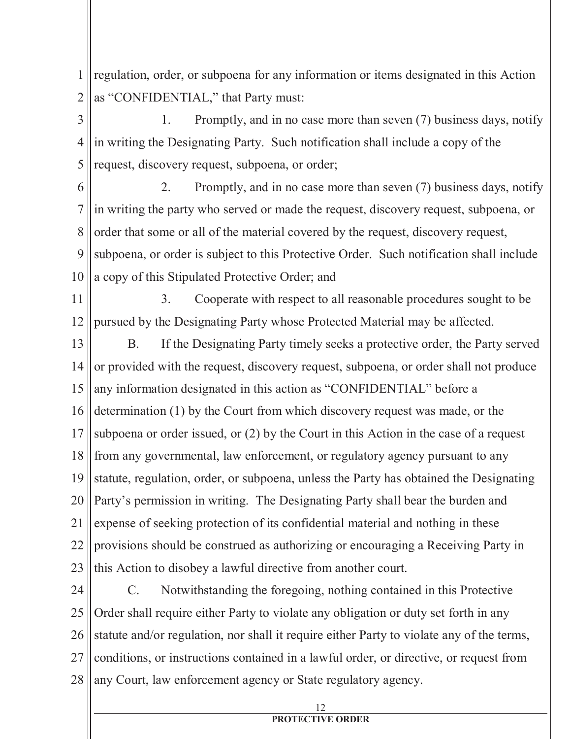1 2 regulation, order, or subpoena for any information or items designated in this Action as "CONFIDENTIAL," that Party must:

3 4 5 1. Promptly, and in no case more than seven (7) business days, notify in writing the Designating Party. Such notification shall include a copy of the request, discovery request, subpoena, or order;

6 7 8 9 10 2. Promptly, and in no case more than seven (7) business days, notify in writing the party who served or made the request, discovery request, subpoena, or order that some or all of the material covered by the request, discovery request, subpoena, or order is subject to this Protective Order. Such notification shall include a copy of this Stipulated Protective Order; and

11 12 3. Cooperate with respect to all reasonable procedures sought to be pursued by the Designating Party whose Protected Material may be affected.

13 14 15 16 17 18 19 20 21 22 23 B. If the Designating Party timely seeks a protective order, the Party served or provided with the request, discovery request, subpoena, or order shall not produce any information designated in this action as "CONFIDENTIAL" before a determination (1) by the Court from which discovery request was made, or the subpoena or order issued, or (2) by the Court in this Action in the case of a request from any governmental, law enforcement, or regulatory agency pursuant to any statute, regulation, order, or subpoena, unless the Party has obtained the Designating Party's permission in writing. The Designating Party shall bear the burden and expense of seeking protection of its confidential material and nothing in these provisions should be construed as authorizing or encouraging a Receiving Party in this Action to disobey a lawful directive from another court.

24 25 26 27 28 C. Notwithstanding the foregoing, nothing contained in this Protective Order shall require either Party to violate any obligation or duty set forth in any statute and/or regulation, nor shall it require either Party to violate any of the terms, conditions, or instructions contained in a lawful order, or directive, or request from any Court, law enforcement agency or State regulatory agency.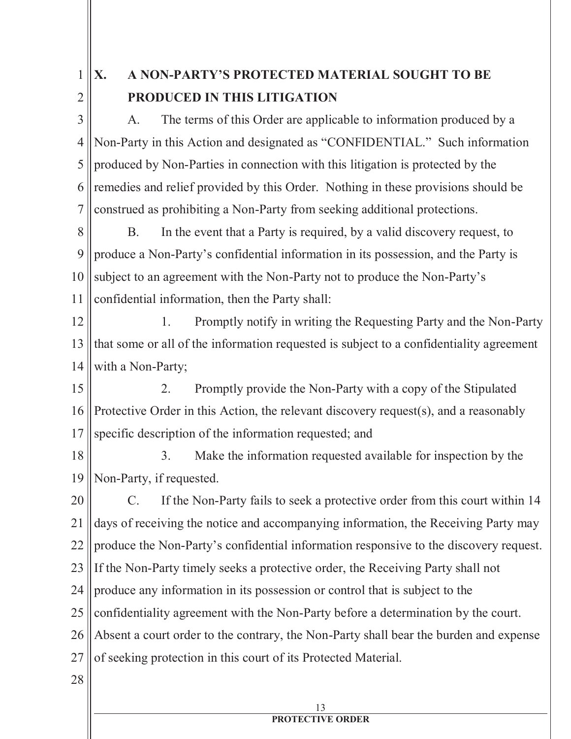1

2

# **X. A NON-PARTY'S PROTECTED MATERIAL SOUGHT TO BE PRODUCED IN THIS LITIGATION**

3 4 5 6 7 A. The terms of this Order are applicable to information produced by a Non-Party in this Action and designated as "CONFIDENTIAL." Such information produced by Non-Parties in connection with this litigation is protected by the remedies and relief provided by this Order. Nothing in these provisions should be construed as prohibiting a Non-Party from seeking additional protections.

8 9 10 11 B. In the event that a Party is required, by a valid discovery request, to produce a Non-Party's confidential information in its possession, and the Party is subject to an agreement with the Non-Party not to produce the Non-Party's confidential information, then the Party shall:

12 13 14 1. Promptly notify in writing the Requesting Party and the Non-Party that some or all of the information requested is subject to a confidentiality agreement with a Non-Party;

15 16 17 2. Promptly provide the Non-Party with a copy of the Stipulated Protective Order in this Action, the relevant discovery request(s), and a reasonably specific description of the information requested; and

18 19 3. Make the information requested available for inspection by the Non-Party, if requested.

20 21 22 23 24 25 26 27 C. If the Non-Party fails to seek a protective order from this court within 14 days of receiving the notice and accompanying information, the Receiving Party may produce the Non-Party's confidential information responsive to the discovery request. If the Non-Party timely seeks a protective order, the Receiving Party shall not produce any information in its possession or control that is subject to the confidentiality agreement with the Non-Party before a determination by the court. Absent a court order to the contrary, the Non-Party shall bear the burden and expense of seeking protection in this court of its Protected Material.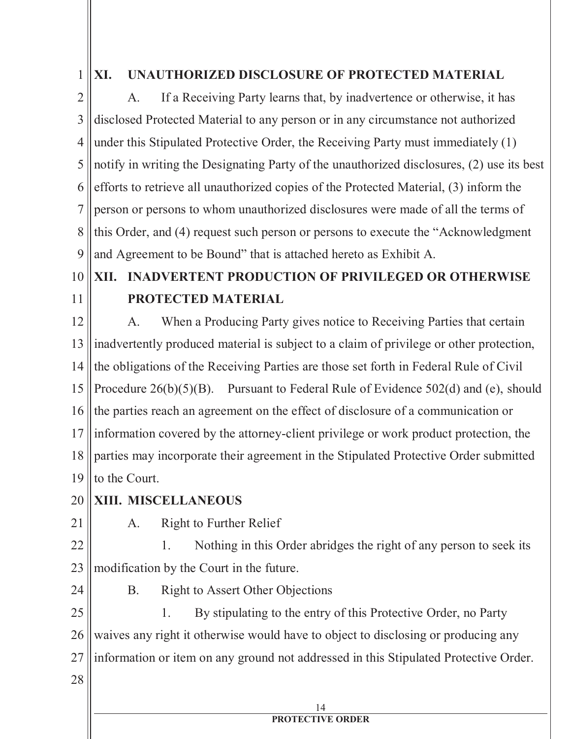1

## **XI. UNAUTHORIZED DISCLOSURE OF PROTECTED MATERIAL**

2 3 4 5 6 7 8 9 A. If a Receiving Party learns that, by inadvertence or otherwise, it has disclosed Protected Material to any person or in any circumstance not authorized under this Stipulated Protective Order, the Receiving Party must immediately (1) notify in writing the Designating Party of the unauthorized disclosures, (2) use its best efforts to retrieve all unauthorized copies of the Protected Material, (3) inform the person or persons to whom unauthorized disclosures were made of all the terms of this Order, and (4) request such person or persons to execute the "Acknowledgment and Agreement to be Bound" that is attached hereto as Exhibit A.

#### 10 11 **XII. INADVERTENT PRODUCTION OF PRIVILEGED OR OTHERWISE PROTECTED MATERIAL**

12 13 14 15 16 17 18 19 A. When a Producing Party gives notice to Receiving Parties that certain inadvertently produced material is subject to a claim of privilege or other protection, the obligations of the Receiving Parties are those set forth in Federal Rule of Civil Procedure 26(b)(5)(B). Pursuant to Federal Rule of Evidence 502(d) and (e), should the parties reach an agreement on the effect of disclosure of a communication or information covered by the attorney-client privilege or work product protection, the parties may incorporate their agreement in the Stipulated Protective Order submitted to the Court.

- 20 **XIII. MISCELLANEOUS**
- 21

A. Right to Further Relief

22 23 1. Nothing in this Order abridges the right of any person to seek its modification by the Court in the future.

24

28

B. Right to Assert Other Objections

25 26 27 1. By stipulating to the entry of this Protective Order, no Party waives any right it otherwise would have to object to disclosing or producing any information or item on any ground not addressed in this Stipulated Protective Order.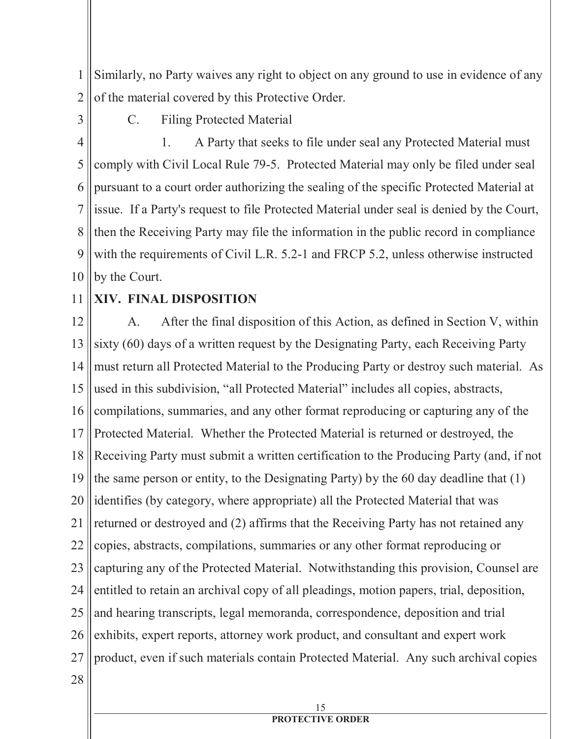1 2 Similarly, no Party waives any right to object on any ground to use in evidence of any of the material covered by this Protective Order.

3

C. Filing Protected Material

4 5 6 7 8 9 10 1. A Party that seeks to file under seal any Protected Material must comply with Civil Local Rule 79-5. Protected Material may only be filed under seal pursuant to a court order authorizing the sealing of the specific Protected Material at issue. If a Party's request to file Protected Material under seal is denied by the Court, then the Receiving Party may file the information in the public record in compliance with the requirements of Civil L.R. 5.2-1 and FRCP 5.2, unless otherwise instructed by the Court.

11 **XIV. FINAL DISPOSITION**

12 13 14 15 16 17 18 19 20 21 22 23 24 25 26 27 28 A. After the final disposition of this Action, as defined in Section V, within sixty (60) days of a written request by the Designating Party, each Receiving Party must return all Protected Material to the Producing Party or destroy such material. As used in this subdivision, "all Protected Material" includes all copies, abstracts, compilations, summaries, and any other format reproducing or capturing any of the Protected Material. Whether the Protected Material is returned or destroyed, the Receiving Party must submit a written certification to the Producing Party (and, if not the same person or entity, to the Designating Party) by the 60 day deadline that (1) identifies (by category, where appropriate) all the Protected Material that was returned or destroyed and (2) affirms that the Receiving Party has not retained any copies, abstracts, compilations, summaries or any other format reproducing or capturing any of the Protected Material. Notwithstanding this provision, Counsel are entitled to retain an archival copy of all pleadings, motion papers, trial, deposition, and hearing transcripts, legal memoranda, correspondence, deposition and trial exhibits, expert reports, attorney work product, and consultant and expert work product, even if such materials contain Protected Material. Any such archival copies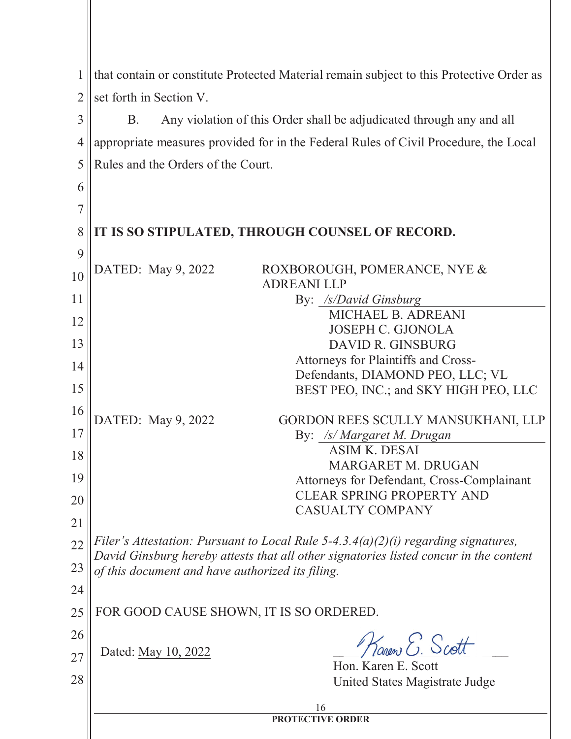| 1              | that contain or constitute Protected Material remain subject to this Protective Order as |  |  |
|----------------|------------------------------------------------------------------------------------------|--|--|
|                |                                                                                          |  |  |
| $\overline{2}$ | set forth in Section V.                                                                  |  |  |
| $\overline{3}$ | Any violation of this Order shall be adjudicated through any and all<br><b>B.</b>        |  |  |
| $\overline{4}$ | appropriate measures provided for in the Federal Rules of Civil Procedure, the Local     |  |  |
| 5              | Rules and the Orders of the Court.                                                       |  |  |
| 6              |                                                                                          |  |  |
| 7              |                                                                                          |  |  |
| 8              | IT IS SO STIPULATED, THROUGH COUNSEL OF RECORD.                                          |  |  |
| 9              |                                                                                          |  |  |
| 10             | DATED: May 9, 2022<br>ROXBOROUGH, POMERANCE, NYE &                                       |  |  |
| 11             | <b>ADREANILLP</b><br>By: /s/David Ginsburg                                               |  |  |
|                | MICHAEL B. ADREANI                                                                       |  |  |
| 12             | <b>JOSEPH C. GJONOLA</b>                                                                 |  |  |
| 13             | DAVID R. GINSBURG                                                                        |  |  |
| 14             | Attorneys for Plaintiffs and Cross-                                                      |  |  |
| 15             | Defendants, DIAMOND PEO, LLC; VL<br>BEST PEO, INC.; and SKY HIGH PEO, LLC                |  |  |
| 16             |                                                                                          |  |  |
|                | DATED: May 9, 2022<br>GORDON REES SCULLY MANSUKHANI, LLP                                 |  |  |
| 17             | By: /s/ Margaret M. Drugan<br><b>ASIM K. DESAI</b>                                       |  |  |
| 18             | MARGARET M. DRUGAN                                                                       |  |  |
| 19             | Attorneys for Defendant, Cross-Complainant                                               |  |  |
| 20             | <b>CLEAR SPRING PROPERTY AND</b>                                                         |  |  |
| 21             | <b>CASUALTY COMPANY</b>                                                                  |  |  |
| 22             | Filer's Attestation: Pursuant to Local Rule 5-4.3.4(a)(2)(i) regarding signatures,       |  |  |
|                | David Ginsburg hereby attests that all other signatories listed concur in the content    |  |  |
| 23             | of this document and have authorized its filing.                                         |  |  |
| 24             |                                                                                          |  |  |
| 25             | FOR GOOD CAUSE SHOWN, IT IS SO ORDERED.                                                  |  |  |
| 26             | Karen E. Scott                                                                           |  |  |
| 27             | Dated: May 10, 2022<br>Hon. Karen E. Scott                                               |  |  |
| 28             | United States Magistrate Judge                                                           |  |  |
|                |                                                                                          |  |  |
|                | 16<br><b>PROTECTIVE ORDER</b>                                                            |  |  |
|                |                                                                                          |  |  |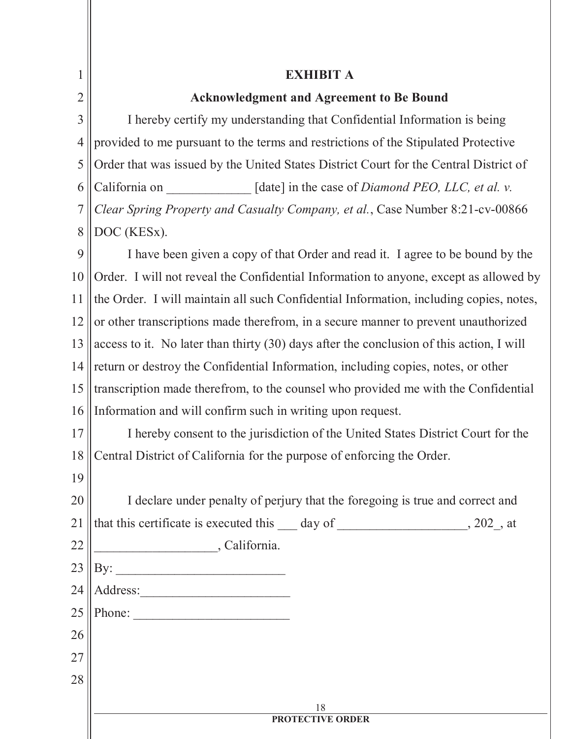| 1              | <b>EXHIBIT A</b>                                                                          |  |  |
|----------------|-------------------------------------------------------------------------------------------|--|--|
| $\overline{2}$ | <b>Acknowledgment and Agreement to Be Bound</b>                                           |  |  |
| $\overline{3}$ | I hereby certify my understanding that Confidential Information is being                  |  |  |
| 4              | provided to me pursuant to the terms and restrictions of the Stipulated Protective        |  |  |
| 5              | Order that was issued by the United States District Court for the Central District of     |  |  |
| 6              | California on<br>[date] in the case of <i>Diamond PEO</i> , <i>LLC</i> , <i>et al. v.</i> |  |  |
| $\overline{7}$ | Clear Spring Property and Casualty Company, et al., Case Number 8:21-cv-00866             |  |  |
| 8              | DOC (KESx).                                                                               |  |  |
| 9              | I have been given a copy of that Order and read it. I agree to be bound by the            |  |  |
| 10             | Order. I will not reveal the Confidential Information to anyone, except as allowed by     |  |  |
| 11             | the Order. I will maintain all such Confidential Information, including copies, notes,    |  |  |
| 12             | or other transcriptions made therefrom, in a secure manner to prevent unauthorized        |  |  |
| 13             | access to it. No later than thirty (30) days after the conclusion of this action, I will  |  |  |
| 14             | return or destroy the Confidential Information, including copies, notes, or other         |  |  |
| 15             | transcription made therefrom, to the counsel who provided me with the Confidential        |  |  |
| 16             | Information and will confirm such in writing upon request.                                |  |  |
| 17             | I hereby consent to the jurisdiction of the United States District Court for the          |  |  |
| 18             | Central District of California for the purpose of enforcing the Order.                    |  |  |
| 19             |                                                                                           |  |  |
| 20             | I declare under penalty of perjury that the foregoing is true and correct and             |  |  |
| 21             | that this certificate is executed this 10 day of 202, at                                  |  |  |
| 22             | California.                                                                               |  |  |
| 23             |                                                                                           |  |  |
| 24             | Address:                                                                                  |  |  |
| 25             | Phone:                                                                                    |  |  |
| 26             |                                                                                           |  |  |
| 27             |                                                                                           |  |  |
| 28             |                                                                                           |  |  |
|                | 18                                                                                        |  |  |
|                | <b>PROTECTIVE ORDER</b>                                                                   |  |  |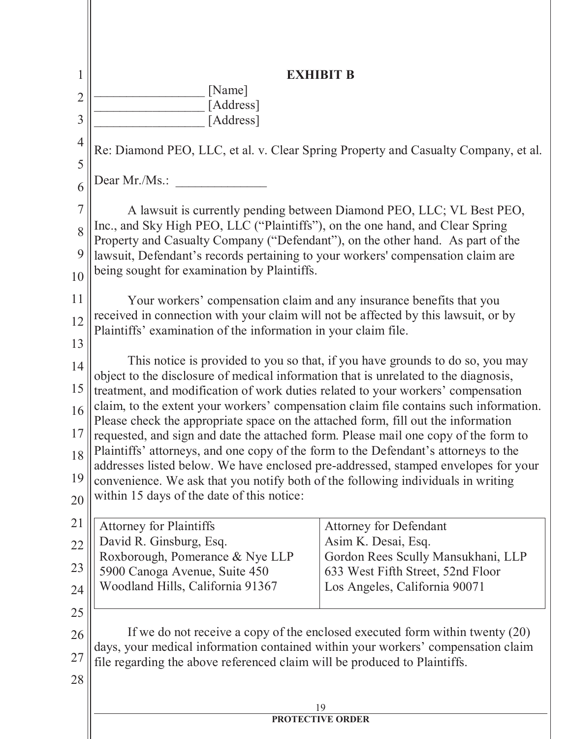| 1              | <b>EXHIBIT B</b>                                                                                                                                                                                                                                                                                                                                      |                                                                                |  |  |
|----------------|-------------------------------------------------------------------------------------------------------------------------------------------------------------------------------------------------------------------------------------------------------------------------------------------------------------------------------------------------------|--------------------------------------------------------------------------------|--|--|
| $\overline{2}$ | [Name]                                                                                                                                                                                                                                                                                                                                                |                                                                                |  |  |
| 3              | [Address]<br>[Address]                                                                                                                                                                                                                                                                                                                                |                                                                                |  |  |
| $\overline{4}$ | Re: Diamond PEO, LLC, et al. v. Clear Spring Property and Casualty Company, et al.                                                                                                                                                                                                                                                                    |                                                                                |  |  |
| 5<br>6         | Dear Mr./Ms.:                                                                                                                                                                                                                                                                                                                                         |                                                                                |  |  |
|                |                                                                                                                                                                                                                                                                                                                                                       |                                                                                |  |  |
| $\overline{7}$ | A lawsuit is currently pending between Diamond PEO, LLC; VL Best PEO,<br>Inc., and Sky High PEO, LLC ("Plaintiffs"), on the one hand, and Clear Spring                                                                                                                                                                                                |                                                                                |  |  |
| 8              | Property and Casualty Company ("Defendant"), on the other hand. As part of the                                                                                                                                                                                                                                                                        |                                                                                |  |  |
| 9              | lawsuit, Defendant's records pertaining to your workers' compensation claim are                                                                                                                                                                                                                                                                       |                                                                                |  |  |
| 10             | being sought for examination by Plaintiffs.                                                                                                                                                                                                                                                                                                           |                                                                                |  |  |
| 11             | Your workers' compensation claim and any insurance benefits that you                                                                                                                                                                                                                                                                                  |                                                                                |  |  |
| 12             | received in connection with your claim will not be affected by this lawsuit, or by                                                                                                                                                                                                                                                                    |                                                                                |  |  |
| 13             | Plaintiffs' examination of the information in your claim file.                                                                                                                                                                                                                                                                                        |                                                                                |  |  |
| 14             | This notice is provided to you so that, if you have grounds to do so, you may                                                                                                                                                                                                                                                                         |                                                                                |  |  |
| 15             | object to the disclosure of medical information that is unrelated to the diagnosis,<br>treatment, and modification of work duties related to your workers' compensation<br>claim, to the extent your workers' compensation claim file contains such information.<br>Please check the appropriate space on the attached form, fill out the information |                                                                                |  |  |
| 16             |                                                                                                                                                                                                                                                                                                                                                       |                                                                                |  |  |
| 17             |                                                                                                                                                                                                                                                                                                                                                       |                                                                                |  |  |
|                | requested, and sign and date the attached form. Please mail one copy of the form to<br>Plaintiffs' attorneys, and one copy of the form to the Defendant's attorneys to the                                                                                                                                                                            |                                                                                |  |  |
| 18             | addresses listed below. We have enclosed pre-addressed, stamped envelopes for your                                                                                                                                                                                                                                                                    |                                                                                |  |  |
| 19             | convenience. We ask that you notify both of the following individuals in writing<br>within 15 days of the date of this notice:                                                                                                                                                                                                                        |                                                                                |  |  |
| 20             |                                                                                                                                                                                                                                                                                                                                                       |                                                                                |  |  |
| 21             | <b>Attorney for Plaintiffs</b>                                                                                                                                                                                                                                                                                                                        | <b>Attorney for Defendant</b>                                                  |  |  |
| 22             | David R. Ginsburg, Esq.<br>Roxborough, Pomerance & Nye LLP                                                                                                                                                                                                                                                                                            | Asim K. Desai, Esq.<br>Gordon Rees Scully Mansukhani, LLP                      |  |  |
| 23             | 5900 Canoga Avenue, Suite 450                                                                                                                                                                                                                                                                                                                         | 633 West Fifth Street, 52nd Floor                                              |  |  |
| 24             | Woodland Hills, California 91367                                                                                                                                                                                                                                                                                                                      | Los Angeles, California 90071                                                  |  |  |
| 25             |                                                                                                                                                                                                                                                                                                                                                       |                                                                                |  |  |
| 26             |                                                                                                                                                                                                                                                                                                                                                       | If we do not receive a copy of the enclosed executed form within twenty $(20)$ |  |  |
| 27             | days, your medical information contained within your workers' compensation claim                                                                                                                                                                                                                                                                      |                                                                                |  |  |
| 28             | file regarding the above referenced claim will be produced to Plaintiffs.                                                                                                                                                                                                                                                                             |                                                                                |  |  |
|                |                                                                                                                                                                                                                                                                                                                                                       |                                                                                |  |  |
|                | 19<br><b>PROTECTIVE ORDER</b>                                                                                                                                                                                                                                                                                                                         |                                                                                |  |  |
|                |                                                                                                                                                                                                                                                                                                                                                       |                                                                                |  |  |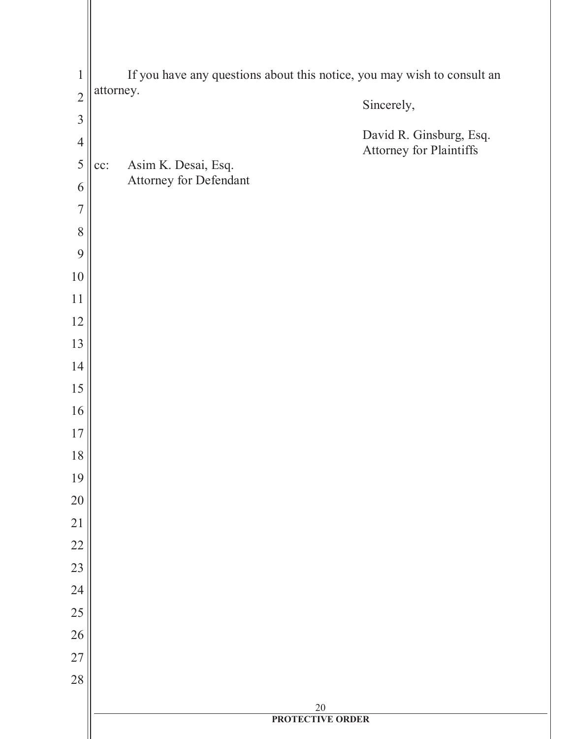| $\mathbf 1$    | If you have any questions about this notice, you may wish to consult an |                                               |                                                    |
|----------------|-------------------------------------------------------------------------|-----------------------------------------------|----------------------------------------------------|
| $\overline{2}$ | attorney.                                                               |                                               | Sincerely,                                         |
| $\overline{3}$ |                                                                         |                                               |                                                    |
| $\overline{4}$ |                                                                         |                                               | David R. Ginsburg, Esq.<br>Attorney for Plaintiffs |
| 5              | cc:                                                                     | Asim K. Desai, Esq.<br>Attorney for Defendant |                                                    |
| 6              |                                                                         |                                               |                                                    |
| $\overline{7}$ |                                                                         |                                               |                                                    |
| 8<br>9         |                                                                         |                                               |                                                    |
| 10             |                                                                         |                                               |                                                    |
| 11             |                                                                         |                                               |                                                    |
| 12             |                                                                         |                                               |                                                    |
| 13             |                                                                         |                                               |                                                    |
| 14             |                                                                         |                                               |                                                    |
| 15             |                                                                         |                                               |                                                    |
| 16             |                                                                         |                                               |                                                    |
| 17             |                                                                         |                                               |                                                    |
| 18             |                                                                         |                                               |                                                    |
| 19             |                                                                         |                                               |                                                    |
| 20             |                                                                         |                                               |                                                    |
| 21             |                                                                         |                                               |                                                    |
| 22             |                                                                         |                                               |                                                    |
| 23             |                                                                         |                                               |                                                    |
| 24             |                                                                         |                                               |                                                    |
| 25             |                                                                         |                                               |                                                    |
| 26             |                                                                         |                                               |                                                    |
| 27<br>28       |                                                                         |                                               |                                                    |
|                |                                                                         |                                               |                                                    |
|                |                                                                         | $\frac{20}{\text{PROTECTIVE ORDER}}$          |                                                    |
|                |                                                                         |                                               |                                                    |